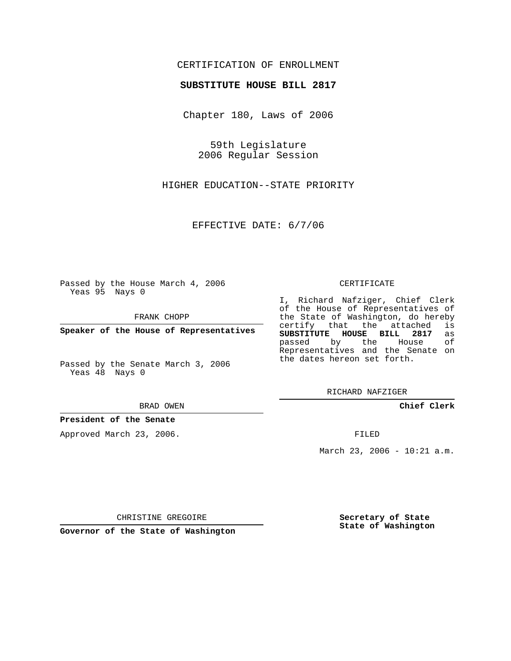# CERTIFICATION OF ENROLLMENT

## **SUBSTITUTE HOUSE BILL 2817**

Chapter 180, Laws of 2006

59th Legislature 2006 Regular Session

HIGHER EDUCATION--STATE PRIORITY

EFFECTIVE DATE: 6/7/06

Passed by the House March 4, 2006 Yeas 95 Nays 0

FRANK CHOPP

**Speaker of the House of Representatives**

Passed by the Senate March 3, 2006 Yeas 48 Nays 0

BRAD OWEN

## **President of the Senate**

Approved March 23, 2006.

#### CERTIFICATE

I, Richard Nafziger, Chief Clerk of the House of Representatives of the State of Washington, do hereby<br>certify that the attached is certify that the attached **SUBSTITUTE HOUSE BILL 2817** as passed by the House Representatives and the Senate on the dates hereon set forth.

RICHARD NAFZIGER

**Chief Clerk**

FILED

March 23, 2006 - 10:21 a.m.

CHRISTINE GREGOIRE

**Governor of the State of Washington**

**Secretary of State State of Washington**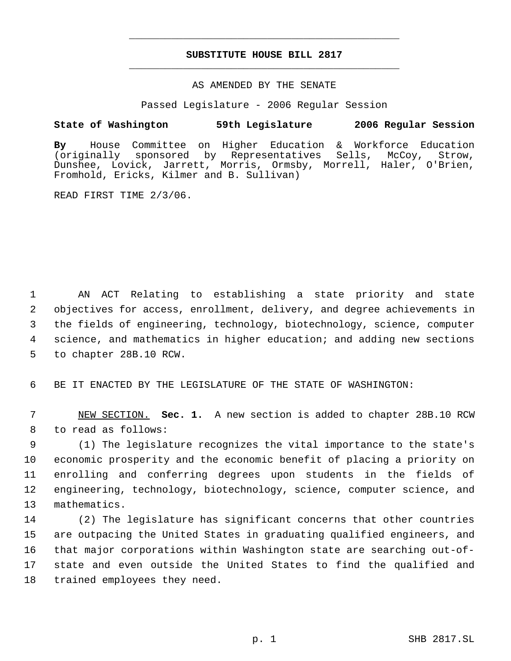# **SUBSTITUTE HOUSE BILL 2817** \_\_\_\_\_\_\_\_\_\_\_\_\_\_\_\_\_\_\_\_\_\_\_\_\_\_\_\_\_\_\_\_\_\_\_\_\_\_\_\_\_\_\_\_\_

\_\_\_\_\_\_\_\_\_\_\_\_\_\_\_\_\_\_\_\_\_\_\_\_\_\_\_\_\_\_\_\_\_\_\_\_\_\_\_\_\_\_\_\_\_

## AS AMENDED BY THE SENATE

Passed Legislature - 2006 Regular Session

## **State of Washington 59th Legislature 2006 Regular Session**

**By** House Committee on Higher Education & Workforce Education sponsored by Representatives Sells, McCoy, Strow, Dunshee, Lovick, Jarrett, Morris, Ormsby, Morrell, Haler, O'Brien, Fromhold, Ericks, Kilmer and B. Sullivan)

READ FIRST TIME 2/3/06.

 AN ACT Relating to establishing a state priority and state objectives for access, enrollment, delivery, and degree achievements in the fields of engineering, technology, biotechnology, science, computer science, and mathematics in higher education; and adding new sections to chapter 28B.10 RCW.

6 BE IT ENACTED BY THE LEGISLATURE OF THE STATE OF WASHINGTON:

 7 NEW SECTION. **Sec. 1.** A new section is added to chapter 28B.10 RCW 8 to read as follows:

 (1) The legislature recognizes the vital importance to the state's economic prosperity and the economic benefit of placing a priority on enrolling and conferring degrees upon students in the fields of engineering, technology, biotechnology, science, computer science, and mathematics.

 (2) The legislature has significant concerns that other countries are outpacing the United States in graduating qualified engineers, and that major corporations within Washington state are searching out-of- state and even outside the United States to find the qualified and trained employees they need.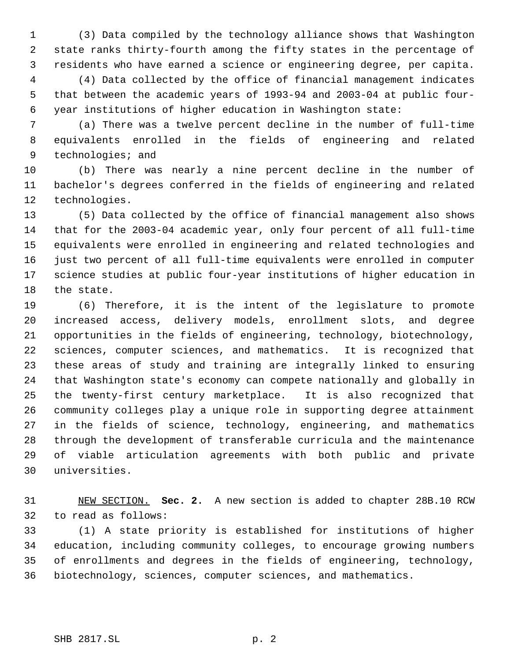(3) Data compiled by the technology alliance shows that Washington state ranks thirty-fourth among the fifty states in the percentage of residents who have earned a science or engineering degree, per capita.

 (4) Data collected by the office of financial management indicates that between the academic years of 1993-94 and 2003-04 at public four- year institutions of higher education in Washington state:

 (a) There was a twelve percent decline in the number of full-time equivalents enrolled in the fields of engineering and related 9 technologies; and

 (b) There was nearly a nine percent decline in the number of bachelor's degrees conferred in the fields of engineering and related technologies.

 (5) Data collected by the office of financial management also shows that for the 2003-04 academic year, only four percent of all full-time equivalents were enrolled in engineering and related technologies and just two percent of all full-time equivalents were enrolled in computer science studies at public four-year institutions of higher education in the state.

 (6) Therefore, it is the intent of the legislature to promote increased access, delivery models, enrollment slots, and degree opportunities in the fields of engineering, technology, biotechnology, sciences, computer sciences, and mathematics. It is recognized that these areas of study and training are integrally linked to ensuring that Washington state's economy can compete nationally and globally in the twenty-first century marketplace. It is also recognized that community colleges play a unique role in supporting degree attainment in the fields of science, technology, engineering, and mathematics through the development of transferable curricula and the maintenance of viable articulation agreements with both public and private universities.

 NEW SECTION. **Sec. 2.** A new section is added to chapter 28B.10 RCW to read as follows:

 (1) A state priority is established for institutions of higher education, including community colleges, to encourage growing numbers of enrollments and degrees in the fields of engineering, technology, biotechnology, sciences, computer sciences, and mathematics.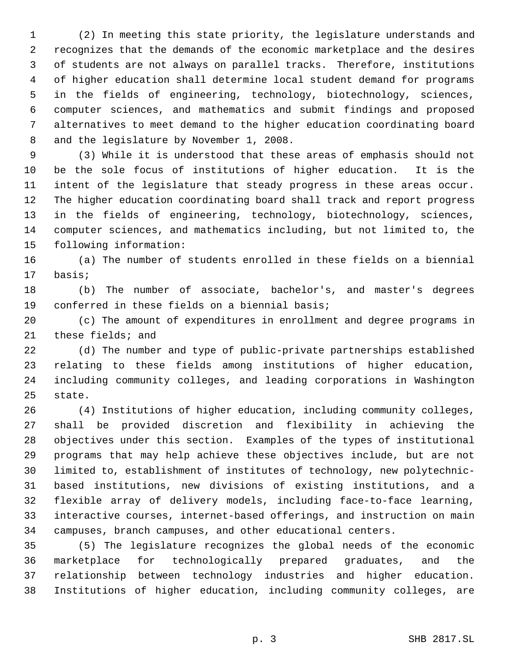(2) In meeting this state priority, the legislature understands and recognizes that the demands of the economic marketplace and the desires of students are not always on parallel tracks. Therefore, institutions of higher education shall determine local student demand for programs in the fields of engineering, technology, biotechnology, sciences, computer sciences, and mathematics and submit findings and proposed alternatives to meet demand to the higher education coordinating board and the legislature by November 1, 2008.

 (3) While it is understood that these areas of emphasis should not be the sole focus of institutions of higher education. It is the intent of the legislature that steady progress in these areas occur. The higher education coordinating board shall track and report progress in the fields of engineering, technology, biotechnology, sciences, computer sciences, and mathematics including, but not limited to, the following information:

 (a) The number of students enrolled in these fields on a biennial basis;

 (b) The number of associate, bachelor's, and master's degrees conferred in these fields on a biennial basis;

 (c) The amount of expenditures in enrollment and degree programs in these fields; and

 (d) The number and type of public-private partnerships established relating to these fields among institutions of higher education, including community colleges, and leading corporations in Washington state.

 (4) Institutions of higher education, including community colleges, shall be provided discretion and flexibility in achieving the objectives under this section. Examples of the types of institutional programs that may help achieve these objectives include, but are not limited to, establishment of institutes of technology, new polytechnic- based institutions, new divisions of existing institutions, and a flexible array of delivery models, including face-to-face learning, interactive courses, internet-based offerings, and instruction on main campuses, branch campuses, and other educational centers.

 (5) The legislature recognizes the global needs of the economic marketplace for technologically prepared graduates, and the relationship between technology industries and higher education. Institutions of higher education, including community colleges, are